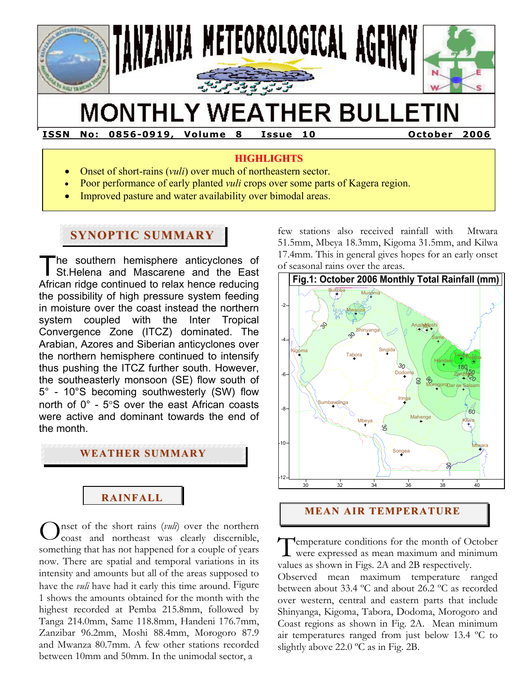

# **MONTHLY WEATHER BULLETIN**

**ISSN No : 0856-0919 , Vo lume 8 Issue 10 October 2006** 

#### **HIGHLIGHTS**

- Onset of short-rains (*vuli*) over much of northeastern sector.
- Poor performance of early planted *vuli* crops over some parts of Kagera region.
- Improved pasture and water availability over bimodal areas.

# **SYNOPTIC SUMMARY**

**F** 

he southern hemisphere anticyclones of St.Helena and Mascarene and the East African ridge continued to relax hence reducing the possibility of high pressure system feeding in moisture over the coast instead the northern system coupled with the Inter Tropical Convergence Zone (ITCZ) dominated. The Arabian, Azores and Siberian anticyclones over the northern hemisphere continued to intensify thus pushing the ITCZ further south. However, the southeasterly monsoon (SE) flow south of 5° - 10°S becoming southwesterly (SW) flow north of 0° - 5°S over the east African coasts were active and dominant towards the end of the month. T

# **WEATHER SUMMARY**

# **RAINFALL**

nset of the short rains (*vuli*) over the northern coast and northeast was clearly discernible, something that has not happened for a couple of years now. There are spatial and temporal variations in its intensity and amounts but all of the areas supposed to have the *vuli* have had it early this time around. Figure 1 shows the amounts obtained for the month with the highest recorded at Pemba 215.8mm, followed by Tanga 214.0mm, Same 118.8mm, Handeni 176.7mm, Zanzibar 96.2mm, Moshi 88.4mm, Morogoro 87.9 and Mwanza 80.7mm. A few other stations recorded between 10mm and 50mm. In the unimodal sector, a  $\sum_{\text{cost of the short rains } (vuli)}$  over the northern<br>something that has not happened for a couple of years<br>now There are spatial and temporal variations in its

few stations also received rainfall with Mtwara 51.5mm, Mbeya 18.3mm, Kigoma 31.5mm, and Kilwa 17.4mm. This in general gives hopes for an early onset of seasonal rains over the areas.



### **MEAN AIR TEMPERATURE**

**F** emperature conditions for the month of October **L** were expressed as mean maximum and minimum values as shown in Figs. 2A and 2B respectively.

Observed mean maximum temperature ranged between about 33.4 ºC and about 26.2 ºC as recorded over western, central and eastern parts that include Shinyanga, Kigoma, Tabora, Dodoma, Morogoro and Coast regions as shown in Fig. 2A. Mean minimum air temperatures ranged from just below 13.4 ºC to slightly above 22.0 ºC as in Fig. 2B.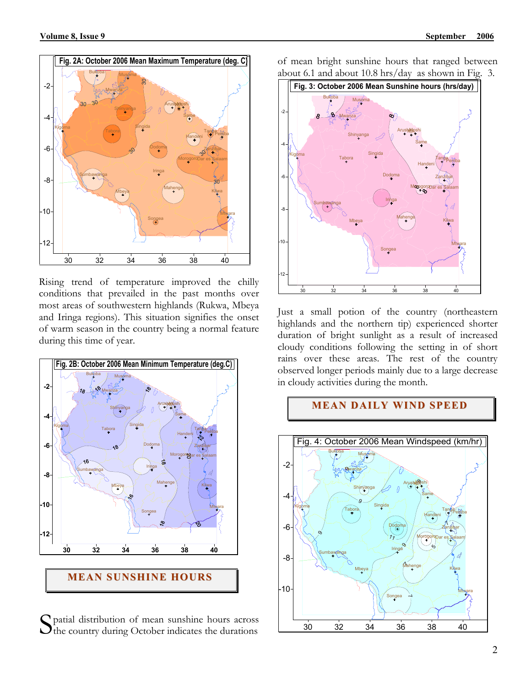

Rising trend of temperature improved the chilly conditions that prevailed in the past months over most areas of southwestern highlands (Rukwa, Mbeya and Iringa regions). This situation signifies the onset of warm season in the country being a normal feature during this time of year.



S patial distribution of mean sunshine hours across<br>the country during October indicates the durations  $\bigcup$  the country during October indicates the durations

of mean bright sunshine hours that ranged between about 6.1 and about 10.8 hrs/day as shown in Fig. 3.



Just a small potion of the country (northeastern highlands and the northern tip) experienced shorter duration of bright sunlight as a result of increased cloudy conditions following the setting in of short rains over these areas. The rest of the country observed longer periods mainly due to a large decrease in cloudy activities during the month.



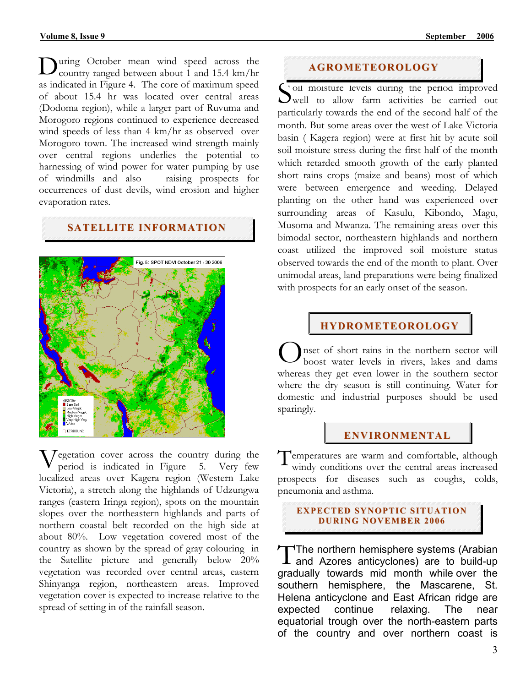During October mean wind speed across the country ranged between about 1 and 15.4 km/hr country ranged between about 1 and 15.4 km/hr as indicated in Figure 4. The core of maximum speed of about 15.4 hr was located over central areas (Dodoma region), while a larger part of Ruvuma and Morogoro regions continued to experience decreased wind speeds of less than 4 km/hr as observed over Morogoro town. The increased wind strength mainly over central regions underlies the potential to harnessing of wind power for water pumping by use of windmills and also raising prospects for occurrences of dust devils, wind erosion and higher evaporation rates.

## **SATELLITE INFORMATION**



Vegetation cover across the country during the period is indicated in Figure 5. Very few period is indicated in Figure 5. Very few localized areas over Kagera region (Western Lake Victoria), a stretch along the highlands of Udzungwa ranges (eastern Iringa region), spots on the mountain slopes over the northeastern highlands and parts of northern coastal belt recorded on the high side at about 80%. Low vegetation covered most of the country as shown by the spread of gray colouring in the Satellite picture and generally below 20% vegetation was recorded over central areas, eastern Shinyanga region, northeastern areas. Improved vegetation cover is expected to increase relative to the spread of setting in of the rainfall season.

#### **AGROMETEOROLOGY**

Soil moisture levels during the period improved<br>
well to allow farm activities be carried out well to allow farm activities be carried out particularly towards the end of the second half of the month. But some areas over the west of Lake Victoria basin ( Kagera region) were at first hit by acute soil soil moisture stress during the first half of the month which retarded smooth growth of the early planted short rains crops (maize and beans) most of which were between emergence and weeding. Delayed planting on the other hand was experienced over surrounding areas of Kasulu, Kibondo, Magu, Musoma and Mwanza. The remaining areas over this bimodal sector, northeastern highlands and northern coast utilized the improved soil moisture status observed towards the end of the month to plant. Over unimodal areas, land preparations were being finalized with prospects for an early onset of the season.

#### **HYDROMETEOROLOGY**

nset of short rains in the northern sector will boost water levels in rivers, lakes and dams whereas they get even lower in the southern sector where the dry season is still continuing. Water for domestic and industrial purposes should be used sparingly. O

#### **ENVIRONMENTAL**

Temperatures are warm and comfortable, although<br>windy conditions over the central areas increased windy conditions over the central areas increased prospects for diseases such as coughs, colds, pneumonia and asthma.

#### **EXPECTED SYNOPTIC SITUATION DURI NG NOVEMBER 2006**

 $\blacksquare$ The northern hemisphere systems (Arabian The northern hemisphere systems (Arabian<br>and Azores anticyclones) are to build-up gradually towards mid month while over the southern hemisphere, the Mascarene, St. Helena anticyclone and East African ridge are expected continue relaxing. The near equatorial trough over the north-eastern parts of the country and over northern coast is